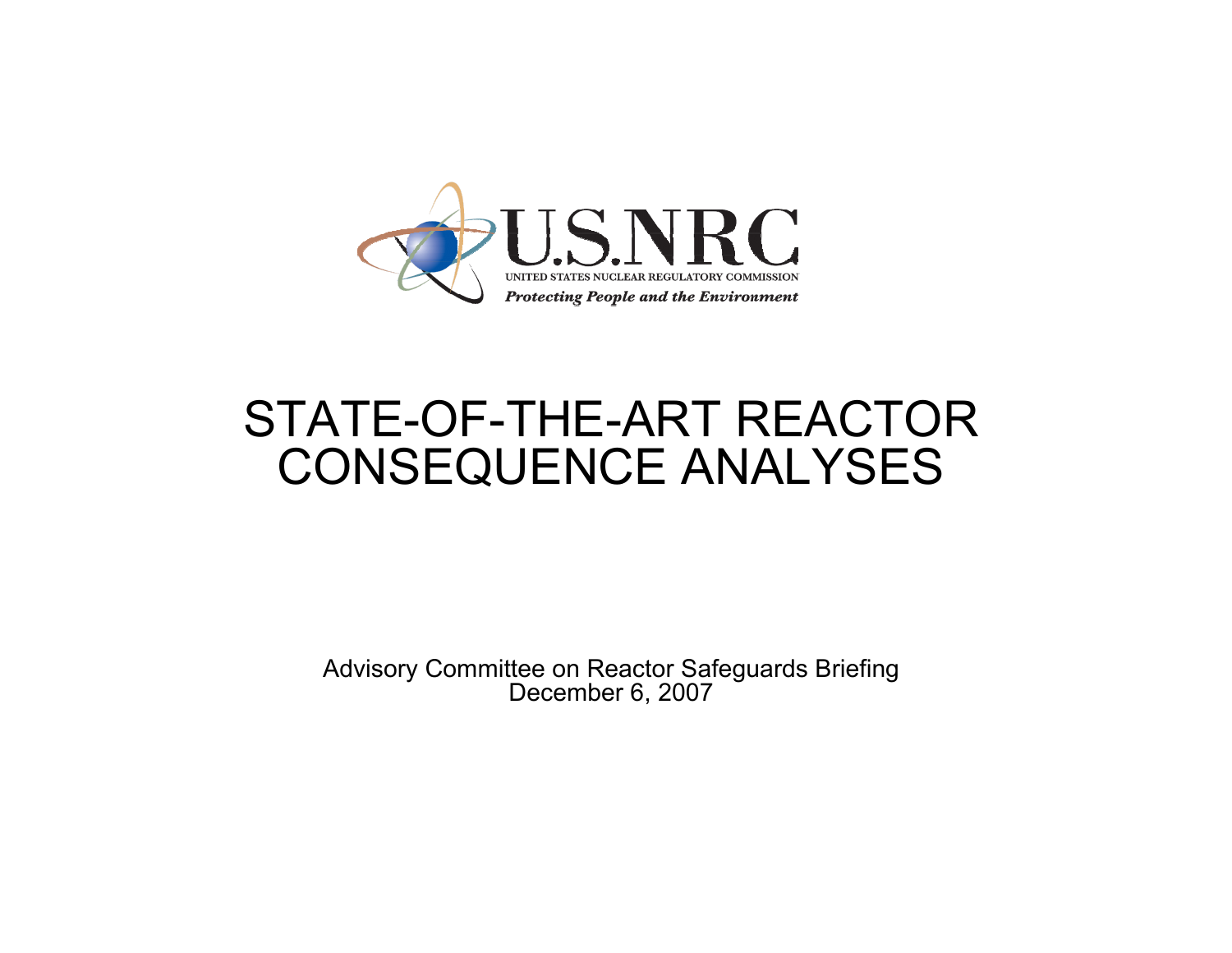

#### STATE-OF-THE-ART REACTOR CONSEQUENCE ANALYSES

Advisory Committee on Reactor Safeguards Briefing December 6, 2007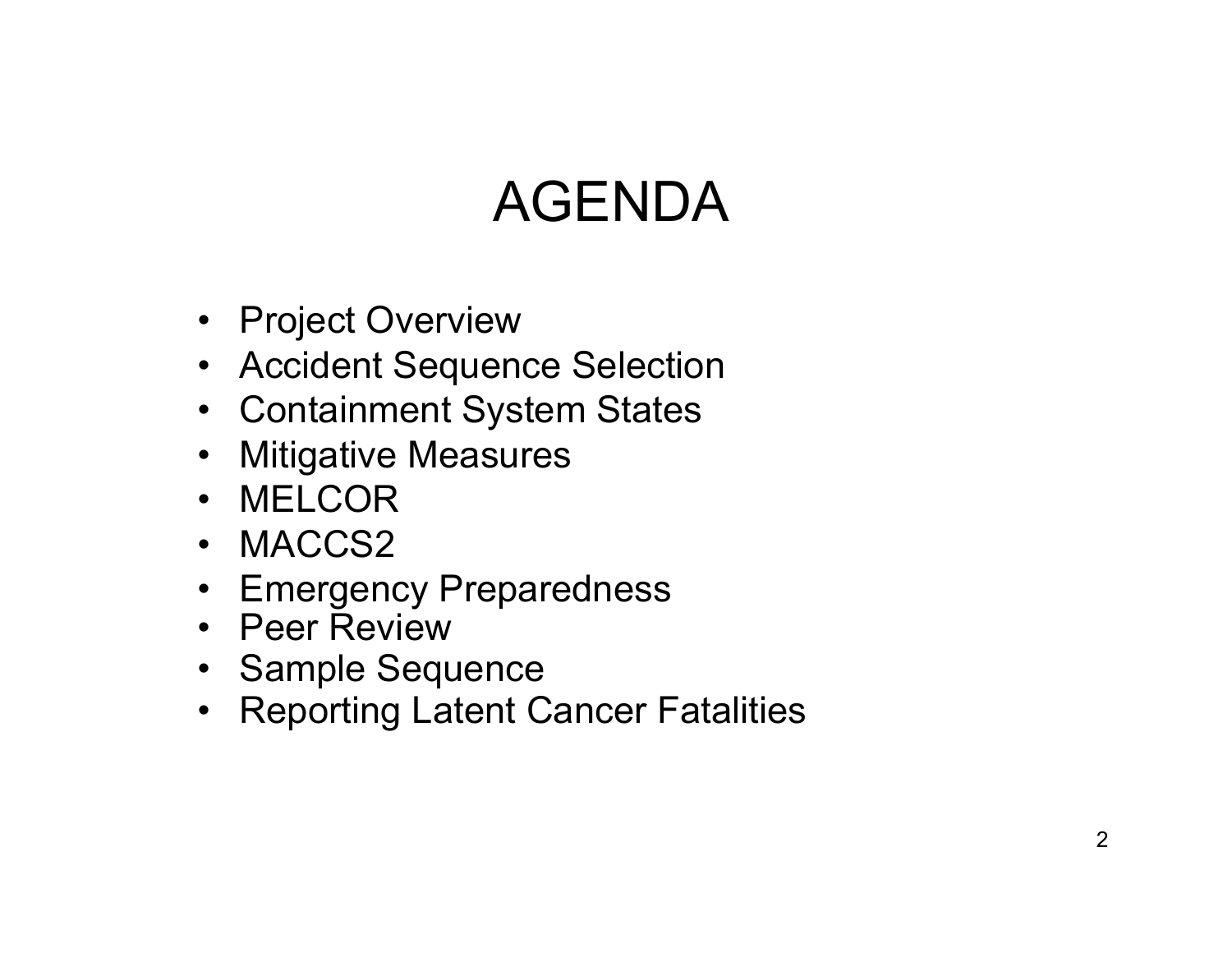# AGENDA

- Project Overview
- Accident Sequence Selection
- Containment System States
- Mitigative Measures
- MELCOR
- MACCS2
- Emergency Preparedness
- Peer Review
- Sample Sequence
- Reporting Latent Cancer Fatalities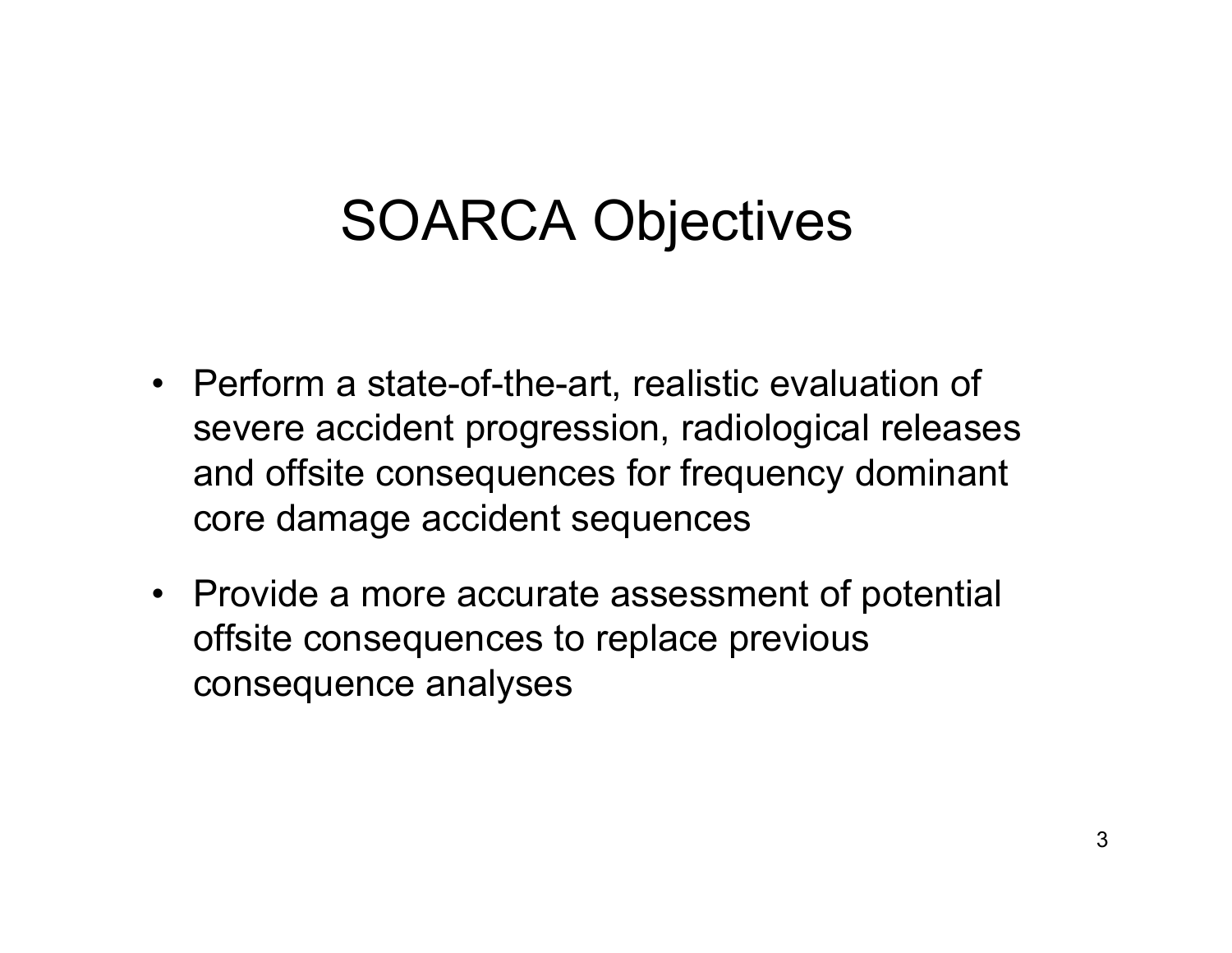## SOARCA Objectives

- Perform a state-of-the-art, realistic evaluation of severe accident progression, radiological releases and offsite consequences for frequency dominant core damage accident sequences
- Provide a more accurate assessment of potential offsite consequences to replace previous consequence analyses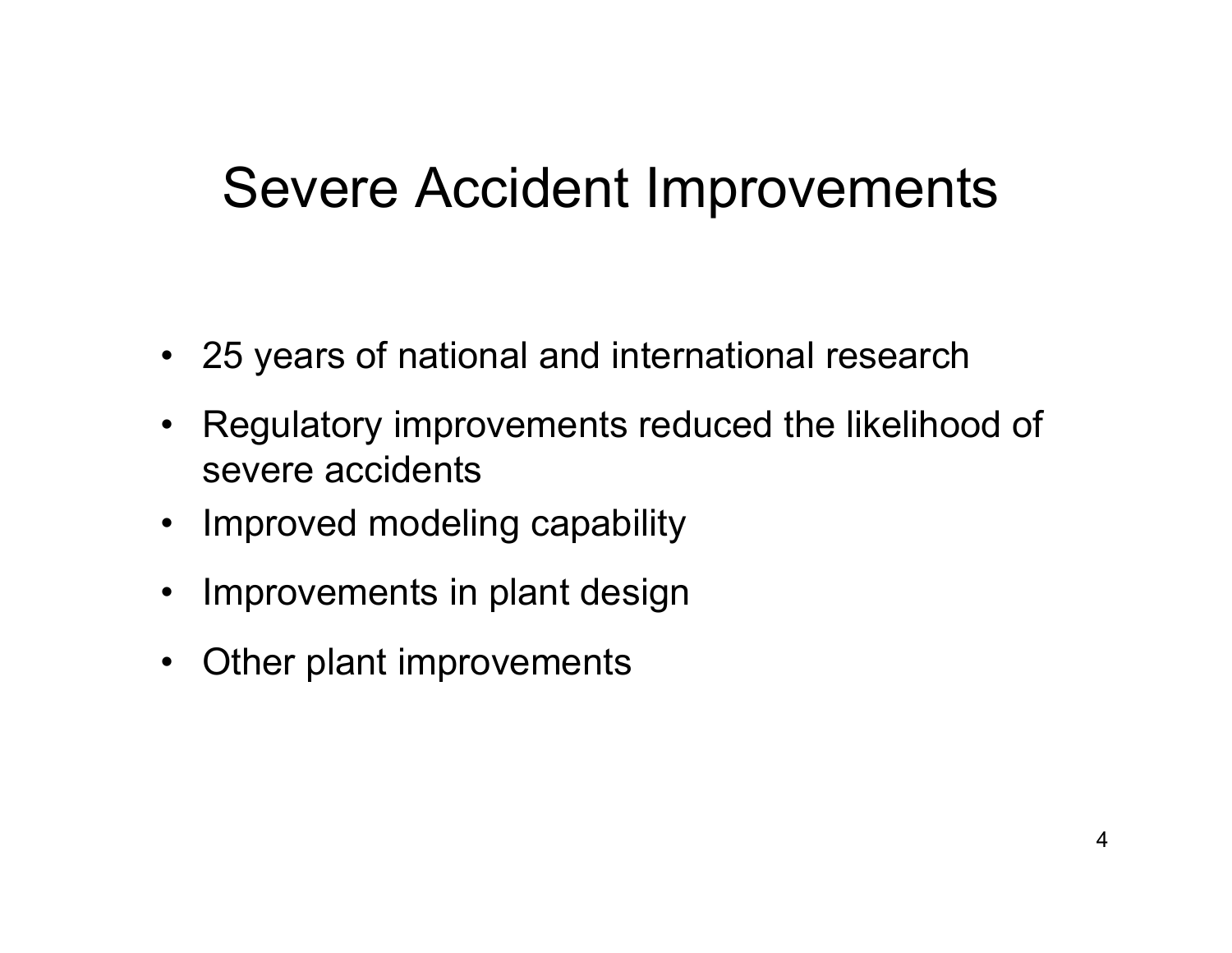#### Severe Accident Improvements

- $\bullet$ 25 years of national and international research
- • Regulatory improvements reduced the likelihood of severe accidents
- $\bullet$ Improved modeling capability
- $\bullet$ Improvements in plant design
- $\bullet$ Other plant improvements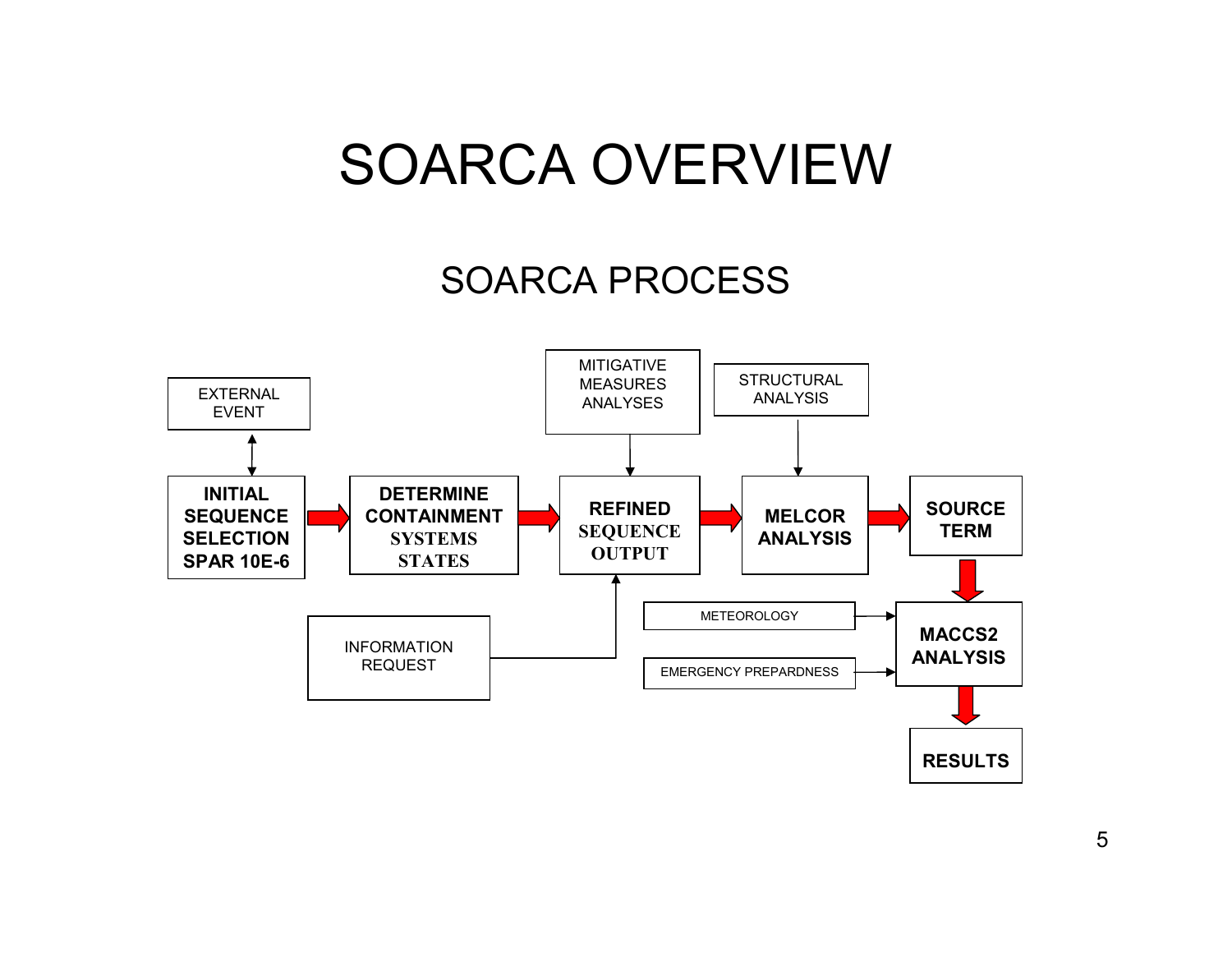#### SOARCA OVERVIEW

#### SOARCA PROCESS

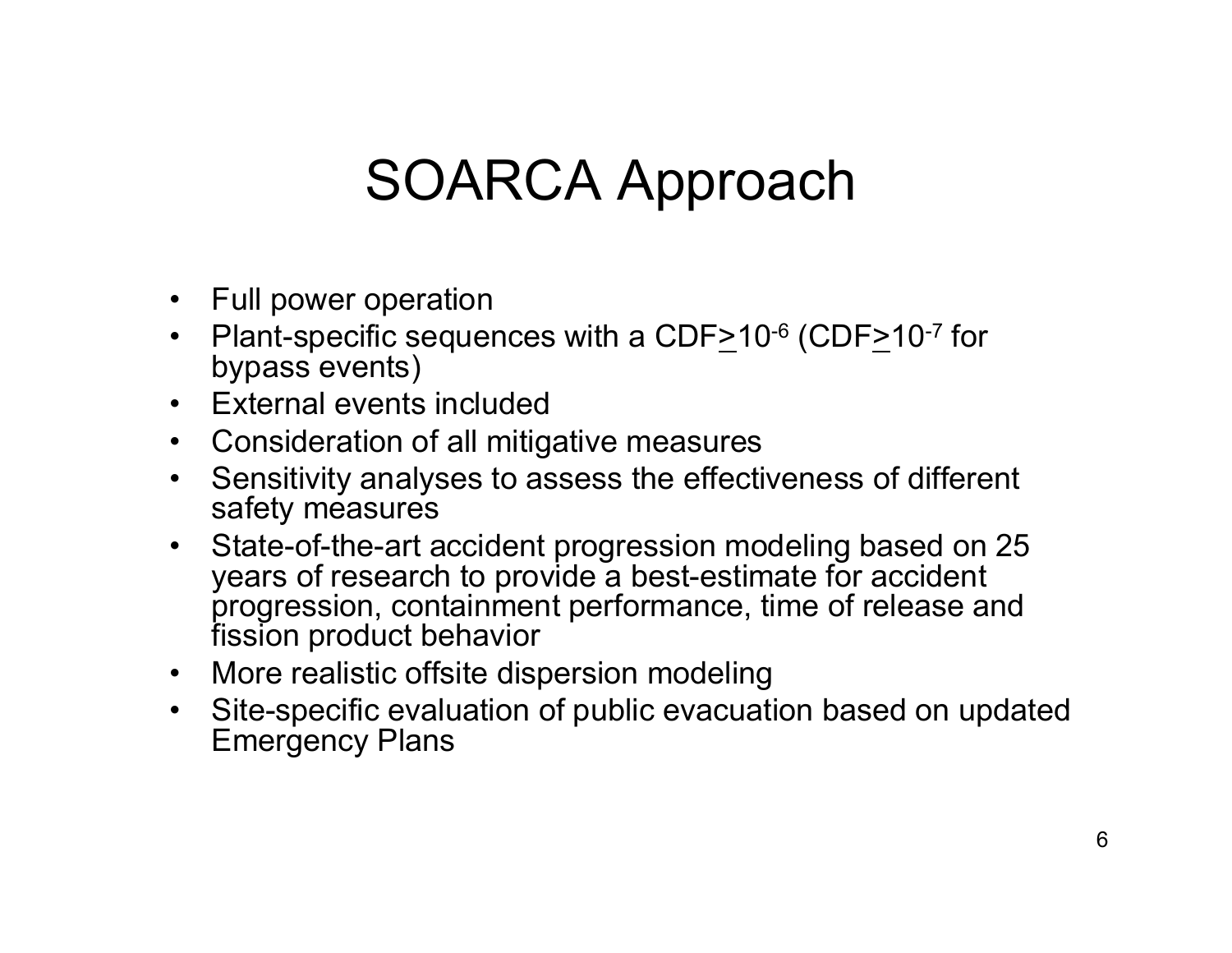## SOARCA Approach

- Full power operation
- $\bullet$ Plant-specific sequences with a  $CDF \geq 10^{-6}$  (CDF $\geq 10^{-7}$  for bypass events)
- $\bullet$ External events included
- Consideration of all mitigative measures
- $\bullet$  Sensitivity analyses to assess the effectiveness of different safety measures
- $\bullet$  State-of-the-art accident progression modeling based on 25 years of research to provide a best-estimate for accident progression, containment performance, time of release and fission product behavior
- $\bullet$ More realistic offsite dispersion modeling
- • Site-specific evaluation of public evacuation based on updated Emergency Plans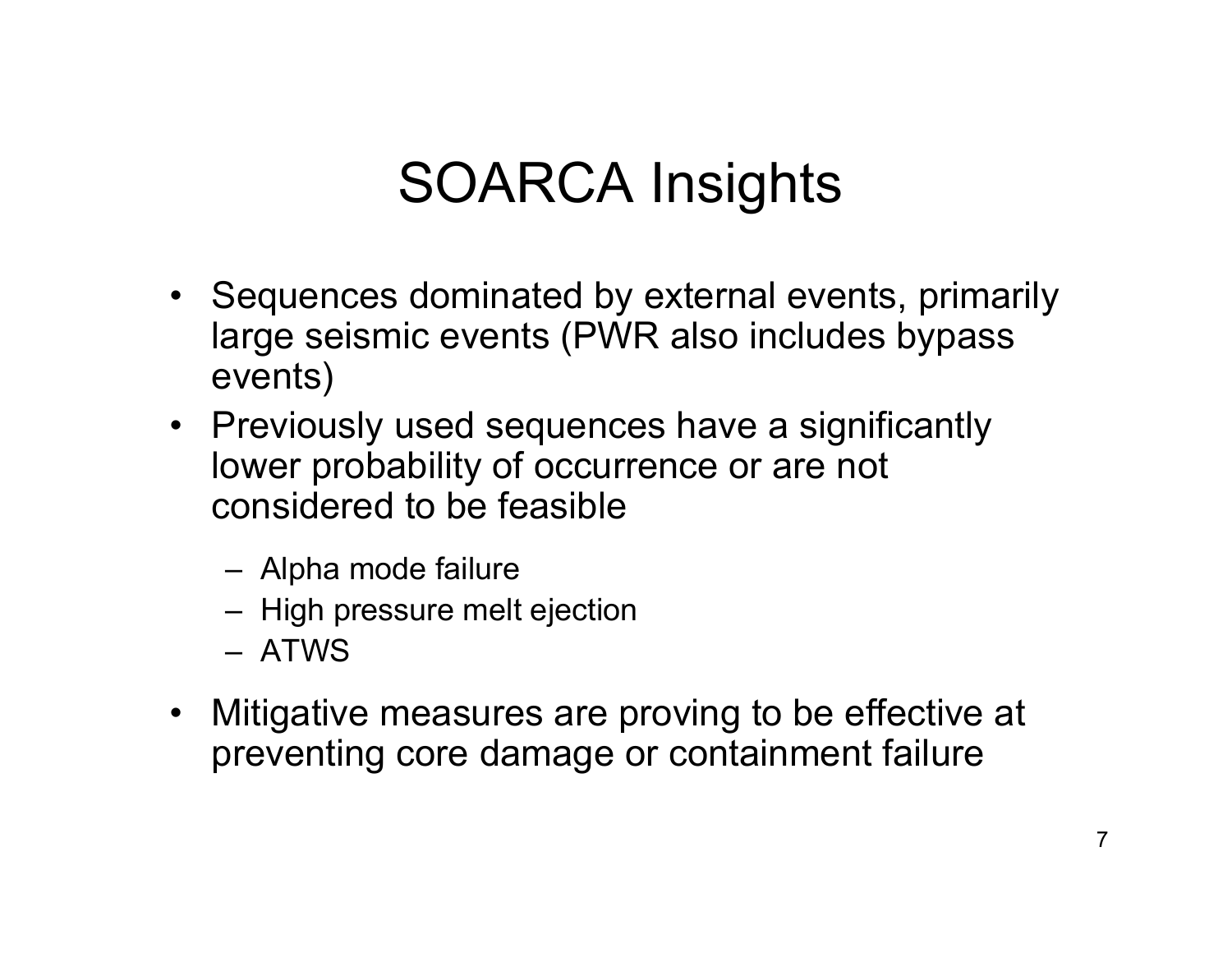# SOARCA Insights

- Sequences dominated by external events, primarily large seismic events (PWR also includes bypass events)
- Previously used sequences have a significantly lower probability of occurrence or are not considered to be feasible
	- Alpha mode failure
	- High pressure melt ejection
	- ATWS
- $\bullet$  Mitigative measures are proving to be effective at preventing core damage or containment failure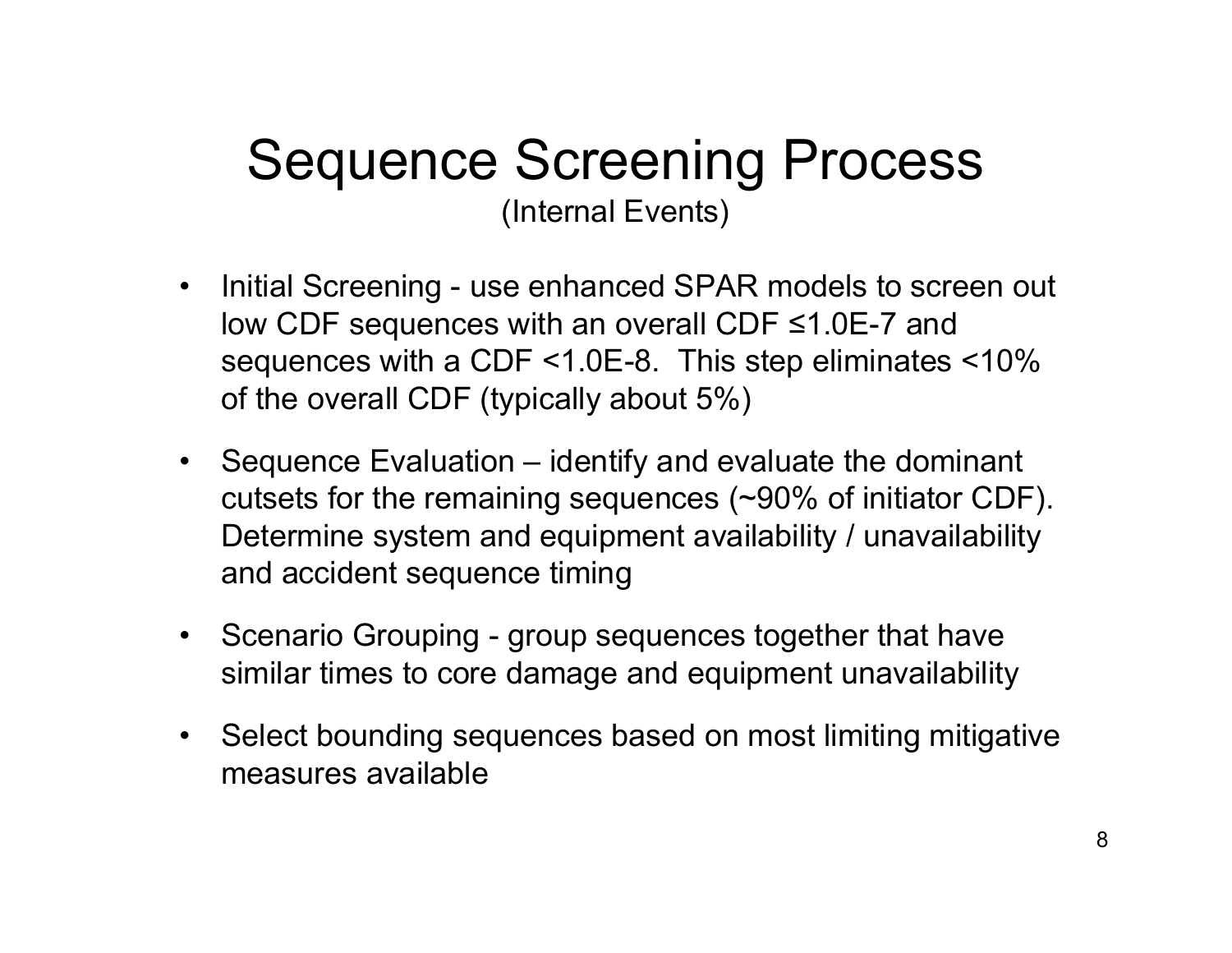#### Sequence Screening Process (Internal Events)

- • Initial Screening - use enhanced SPAR models to screen out low CDF sequences with an overall CDF ≤1.0E-7 and sequences with a CDF <1.0E-8. This step eliminates <10% of the overall CDF (typically about 5%)
- Sequence Evaluation identify and evaluate the dominant cutsets for the remaining sequences (~90% of initiator CDF). Determine system and equipment availability / unavailability and accident sequence timing
- Scenario Grouping group sequences together that have similar times to core damage and equipment unavailability
- Select bounding sequences based on most limiting mitigative measures available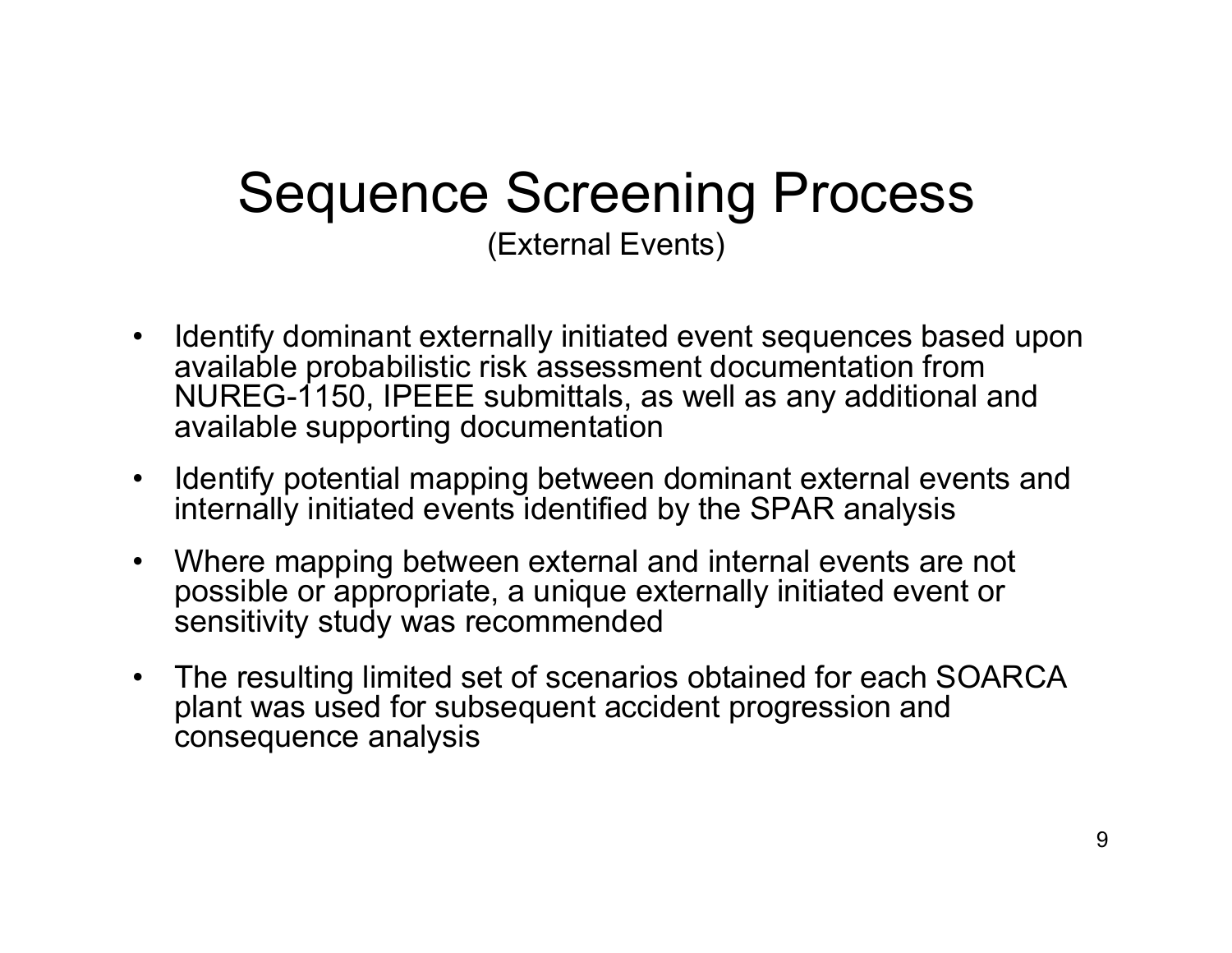#### Sequence Screening Process (External Events)

- • Identify dominant externally initiated event sequences based upon available probabilistic risk assessment documentation from NUREG-1150, IPEEE submittals, as well as any additional and available supporting documentation
- $\bullet$  Identify potential mapping between dominant external events and internally initiated events identified by the SPAR analysis
- $\bullet$  Where mapping between external and internal events are not possible or appropriate, a unique externally initiated event or sensitivity study was recommended
- $\bullet$  The resulting limited set of scenarios obtained for each SOARCA plant was used for subsequent accident progression and consequence analysis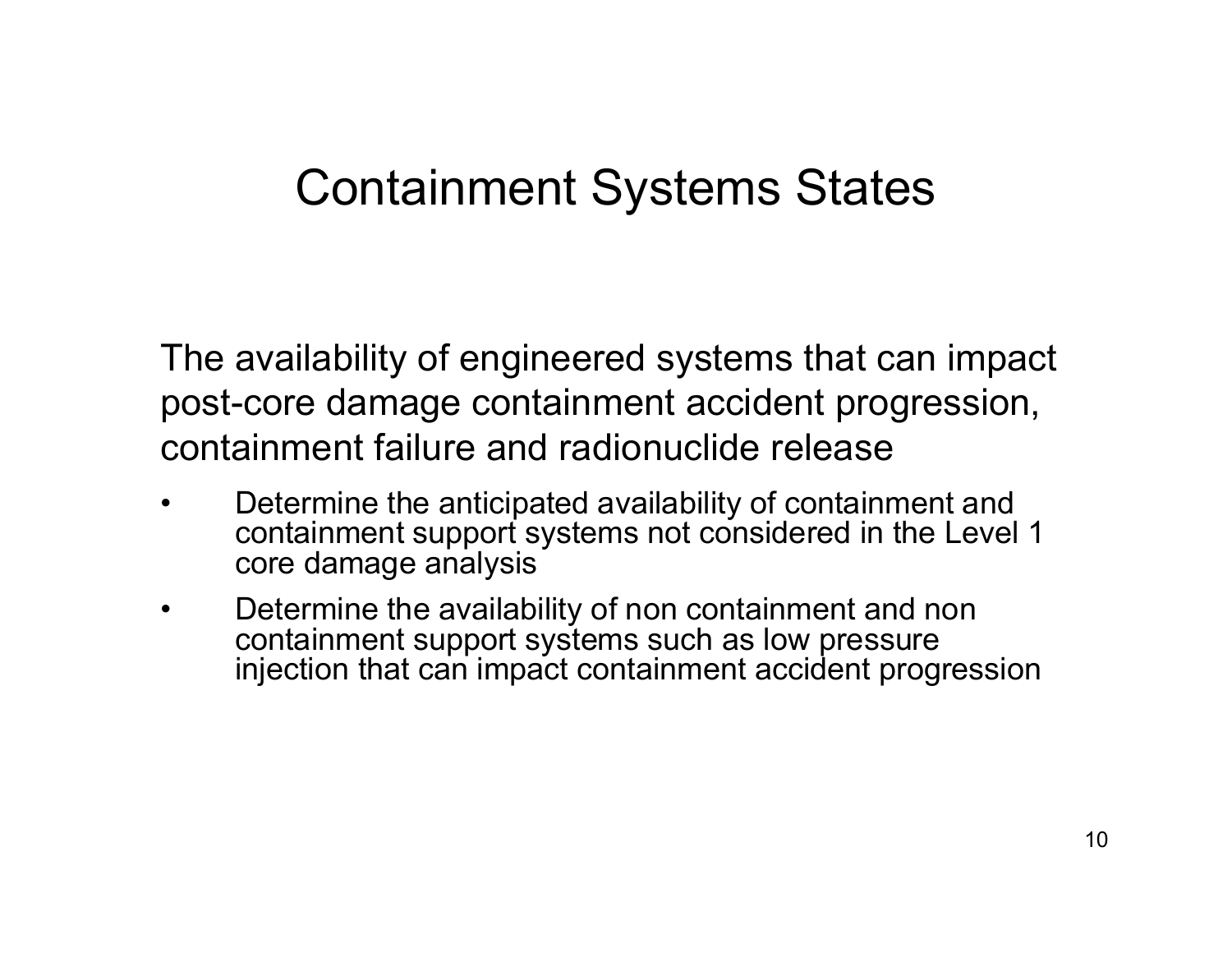#### Containment Systems States

The availability of engineered systems that can impact post-core damage containment accident progression, containment failure and radionuclide release

- • Determine the anticipated availability of containment and containment support systems not considered in the Level 1 core damage analysis
- • Determine the availability of non containment and non containment support systems such as low pressure injection that can impact containment accident progression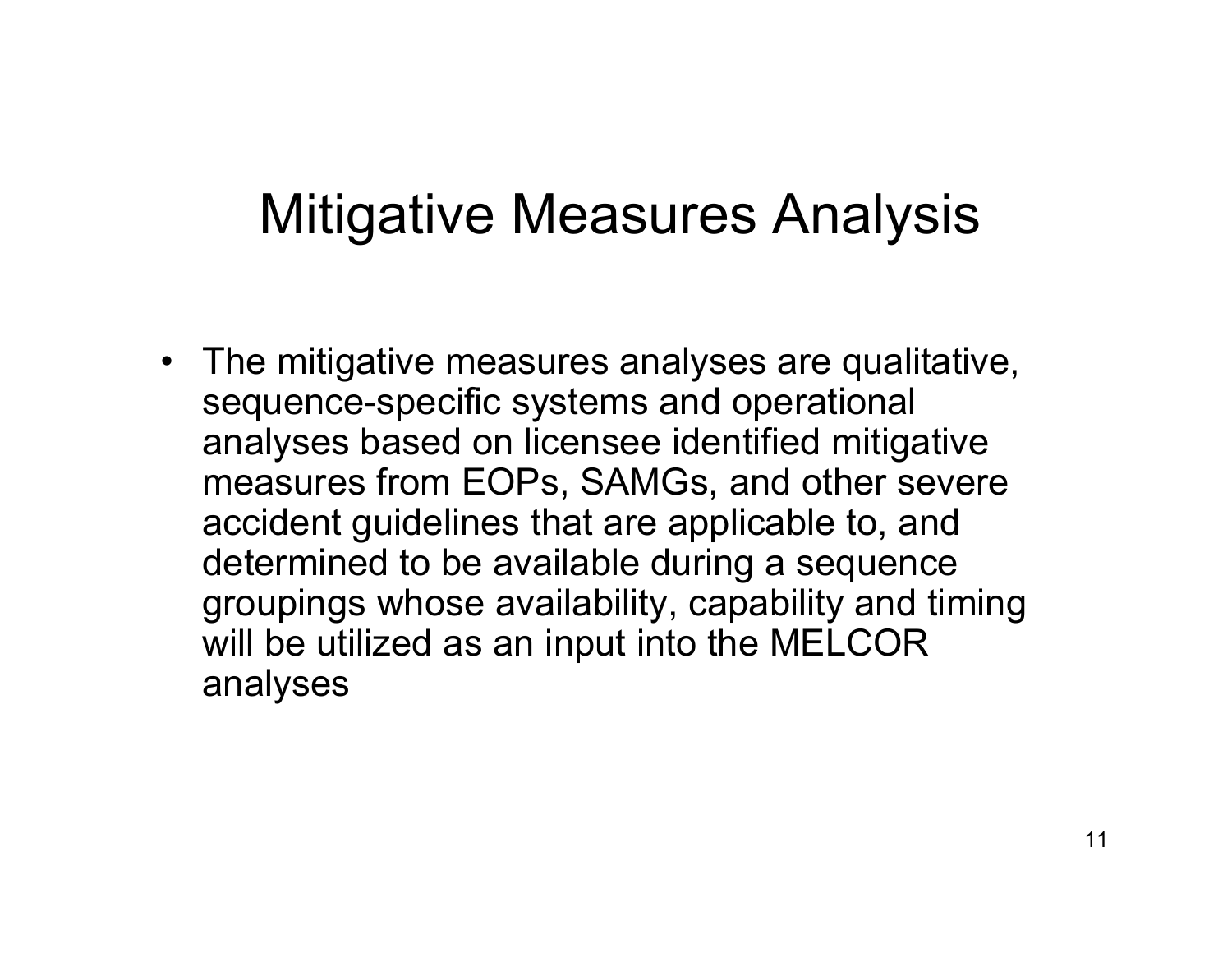## Mitigative Measures Analysis

• The mitigative measures analyses are qualitative, sequence-specific systems and operational analyses based on licensee identified mitigative measures from EOPs, SAMGs, and other severe accident guidelines that are applicable to, and determined to be available during a sequence groupings whose availability, capability and timing will be utilized as an input into the MELCOR analyses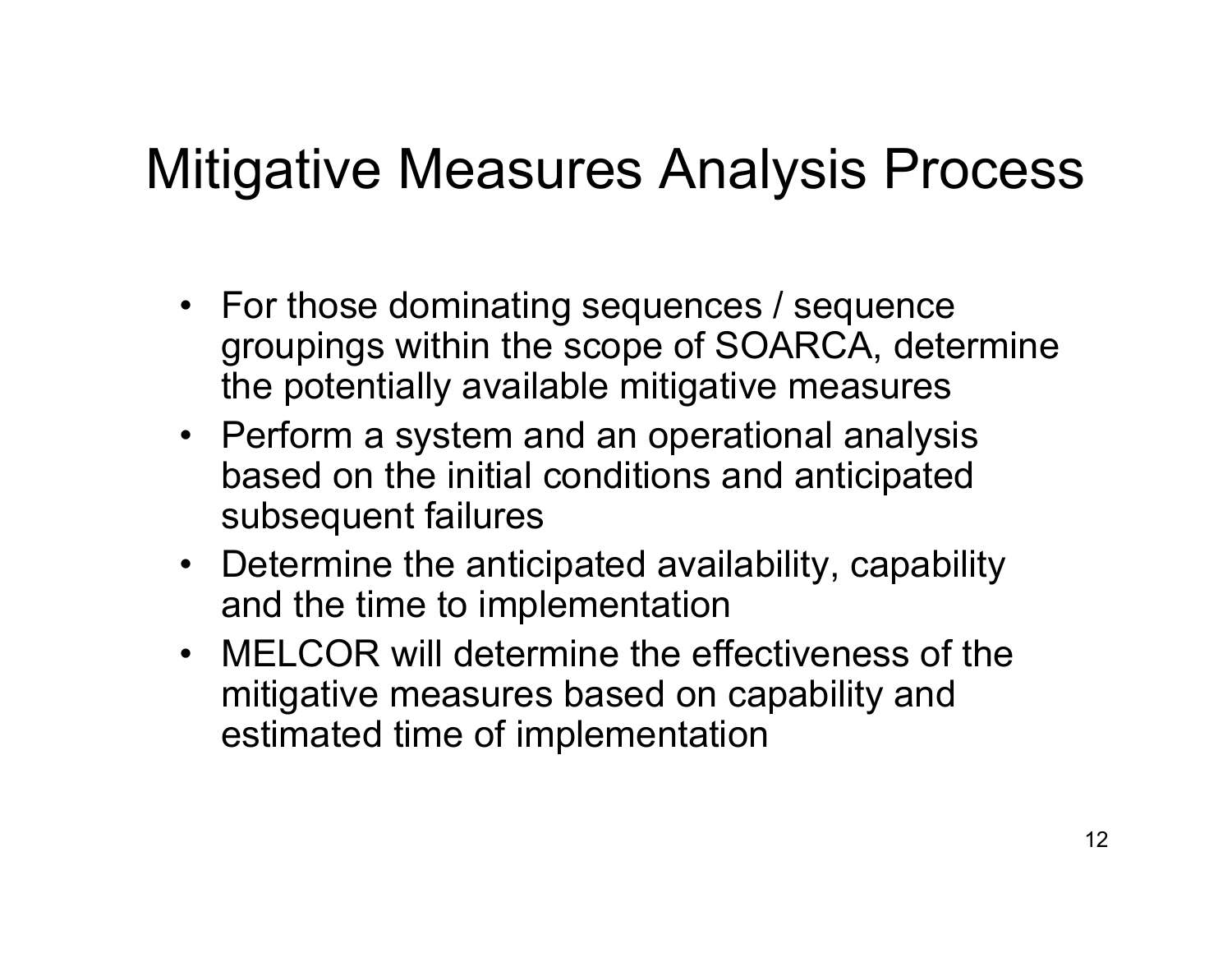## Mitigative Measures Analysis Process

- For those dominating sequences / sequence groupings within the scope of SOARCA, determine the potentially available mitigative measures
- Perform a system and an operational analysis based on the initial conditions and anticipated subsequent failures
- Determine the anticipated availability, capability and the time to implementation
- MELCOR will determine the effectiveness of the mitigative measures based on capability and estimated time of implementation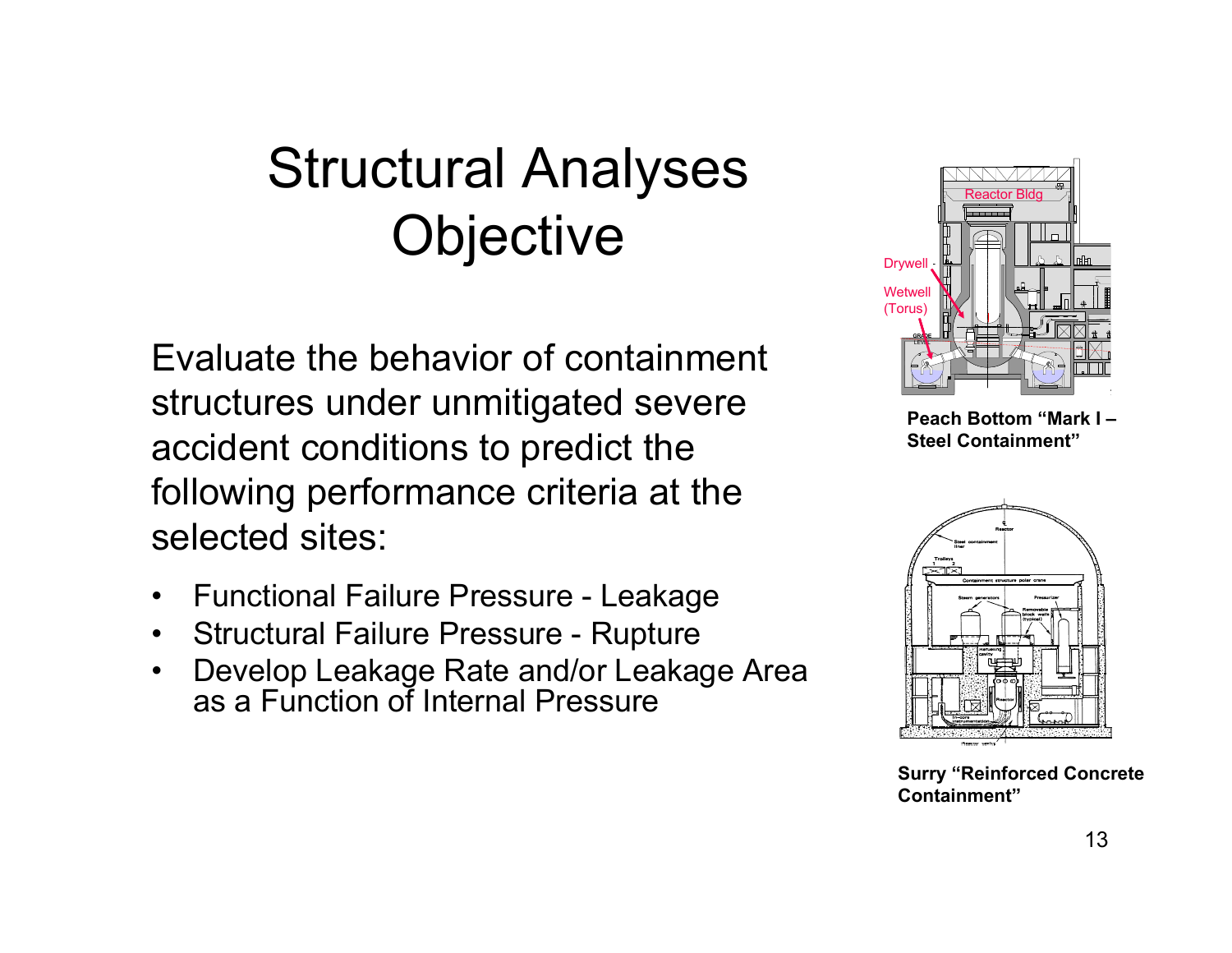# Structural Analyses **Objective**

Evaluate the behavior of containment structures under unmitigated severe accident conditions to predict the following performance criteria at the selected sites:

- $\bullet$ Functional Failure Pressure - Leakage
- $\bullet$ Structural Failure Pressure - Rupture
- $\bullet$  Develop Leakage Rate and/or Leakage Area as a Function of Internal Pressure



**Peach Bottom "Mark I –Steel Containment"**



**Surry "Reinforced Concrete Containment"**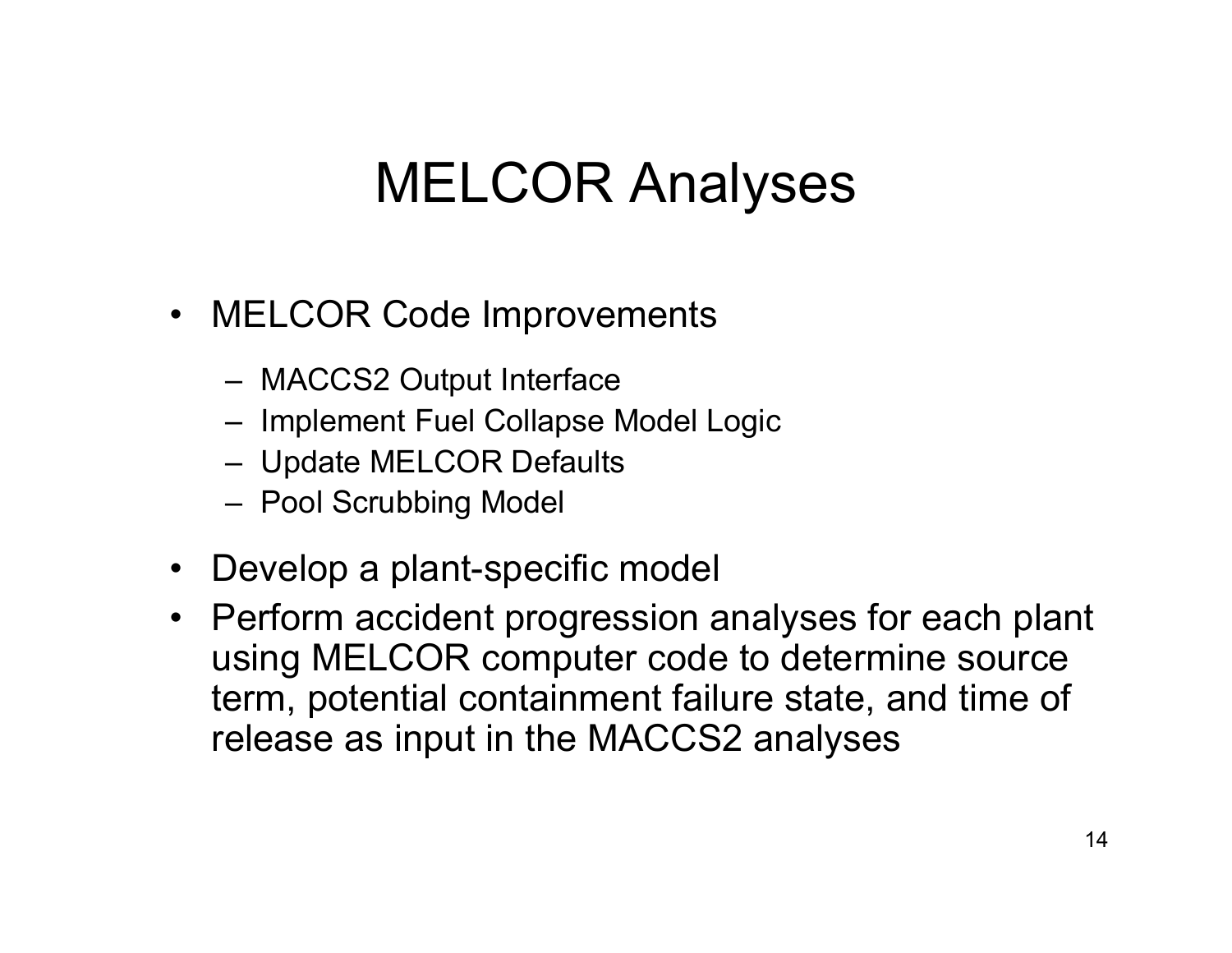## MELCOR Analyses

- MELCOR Code Improvements
	- MACCS2 Output Interface
	- Implement Fuel Collapse Model Logic
	- Update MELCOR Defaults
	- Pool Scrubbing Model
- Develop a plant-specific model
- Perform accident progression analyses for each plant using MELCOR computer code to determine source term, potential containment failure state, and time of release as input in the MACCS2 analyses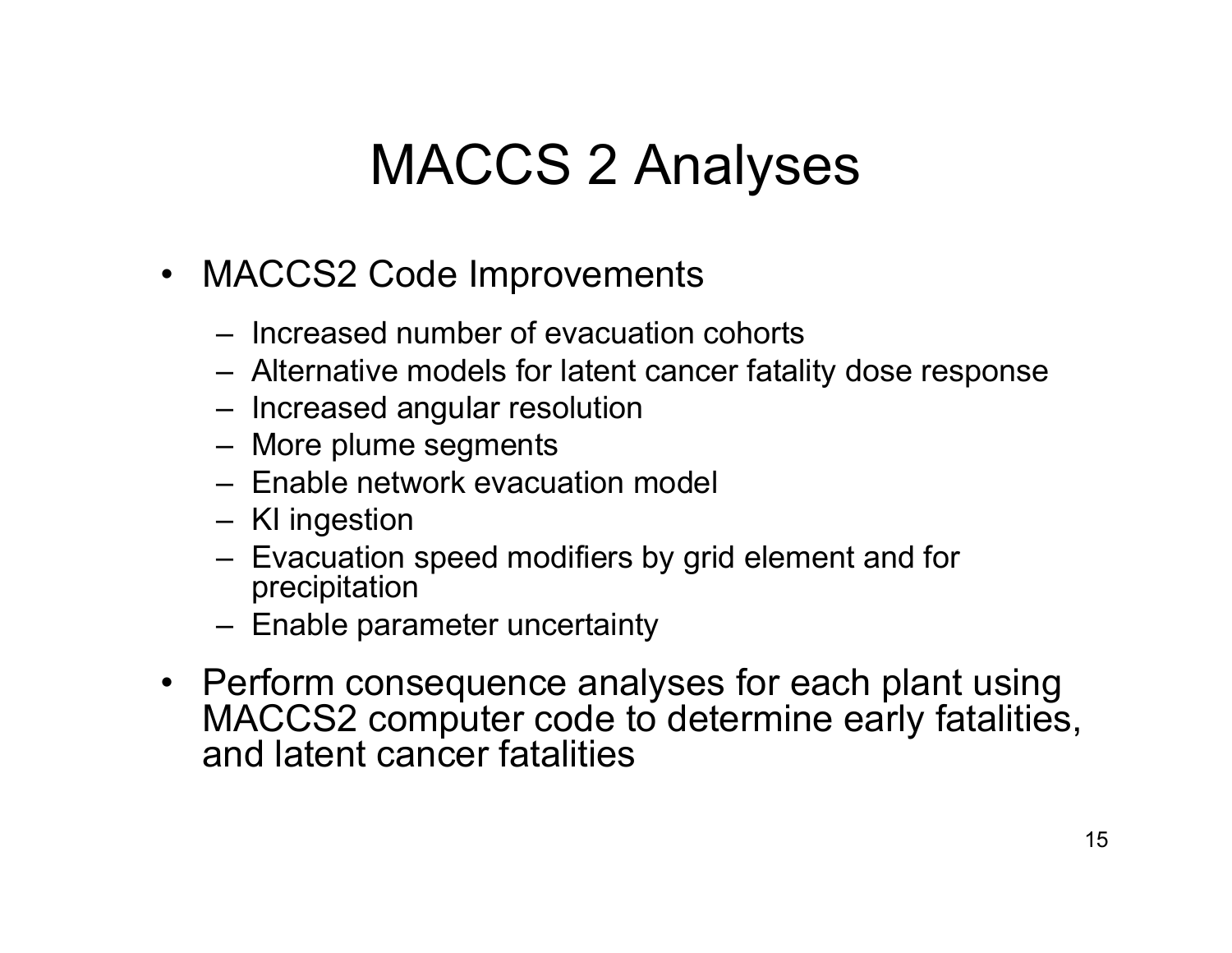## MACCS 2 Analyses

- MACCS2 Code Improvements
	- Increased number of evacuation cohorts
	- Alternative models for latent cancer fatality dose response
	- Increased angular resolution
	- More plume segments
	- Enable network evacuation model
	- KI ingestion
	- Evacuation speed modifiers by grid element and for precipitation
	- Enable parameter uncertainty
- Perform consequence analyses for each plant using MACCS2 computer code to determine early fatalities, and latent cancer fatalities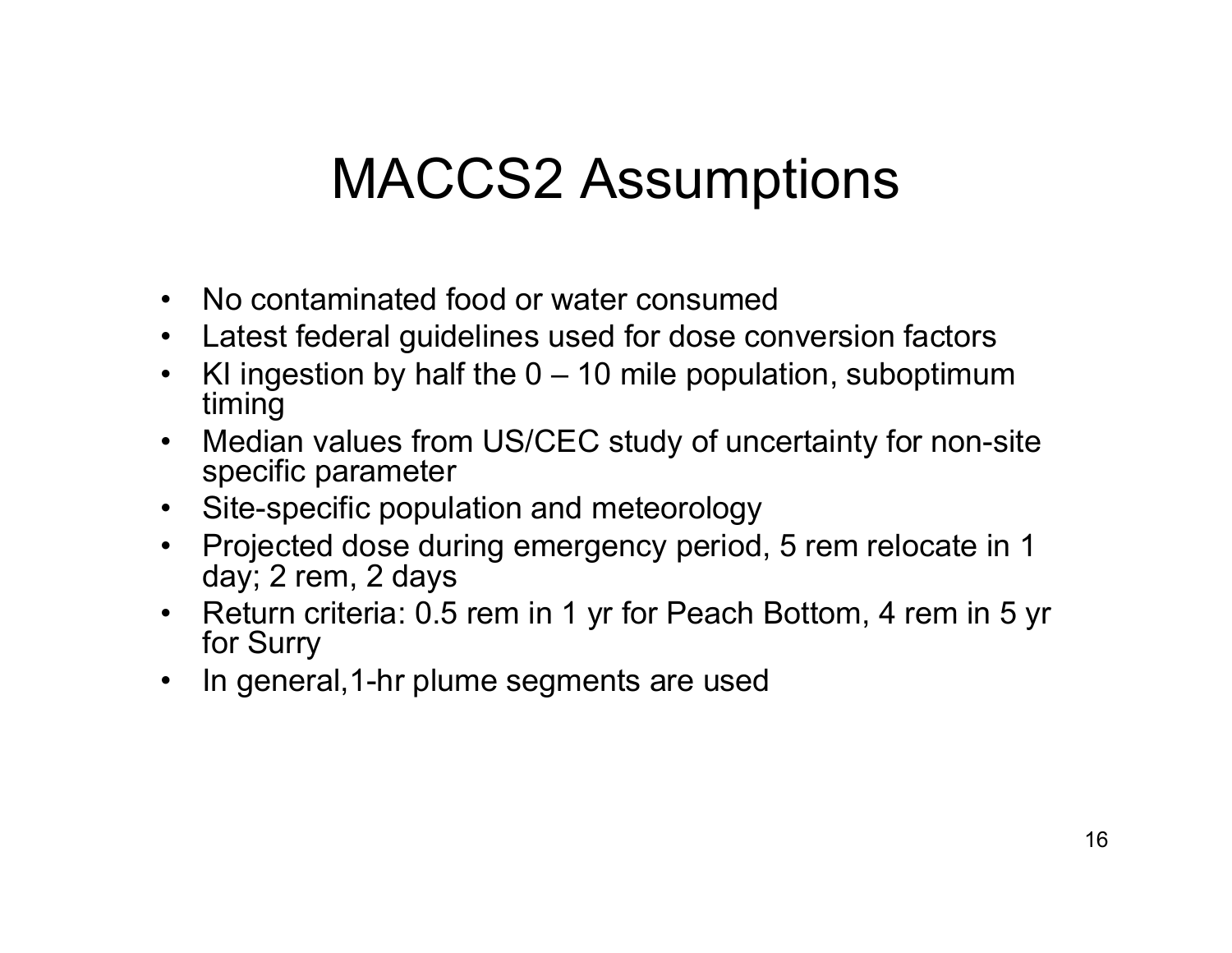## MACCS2 Assumptions

- $\bullet$ No contaminated food or water consumed
- $\bullet$ Latest federal guidelines used for dose conversion factors
- •KI ingestion by half the  $0 - 10$  mile population, suboptimum timing
- $\bullet$  Median values from US/CEC study of uncertainty for non-site specific parameter
- Site-specific population and meteorology
- • Projected dose during emergency period, 5 rem relocate in 1 day; 2 rem, 2 days
- $\bullet$  Return criteria: 0.5 rem in 1 yr for Peach Bottom, 4 rem in 5 yr for Surry
- $\bullet$ In general,1-hr plume segments are used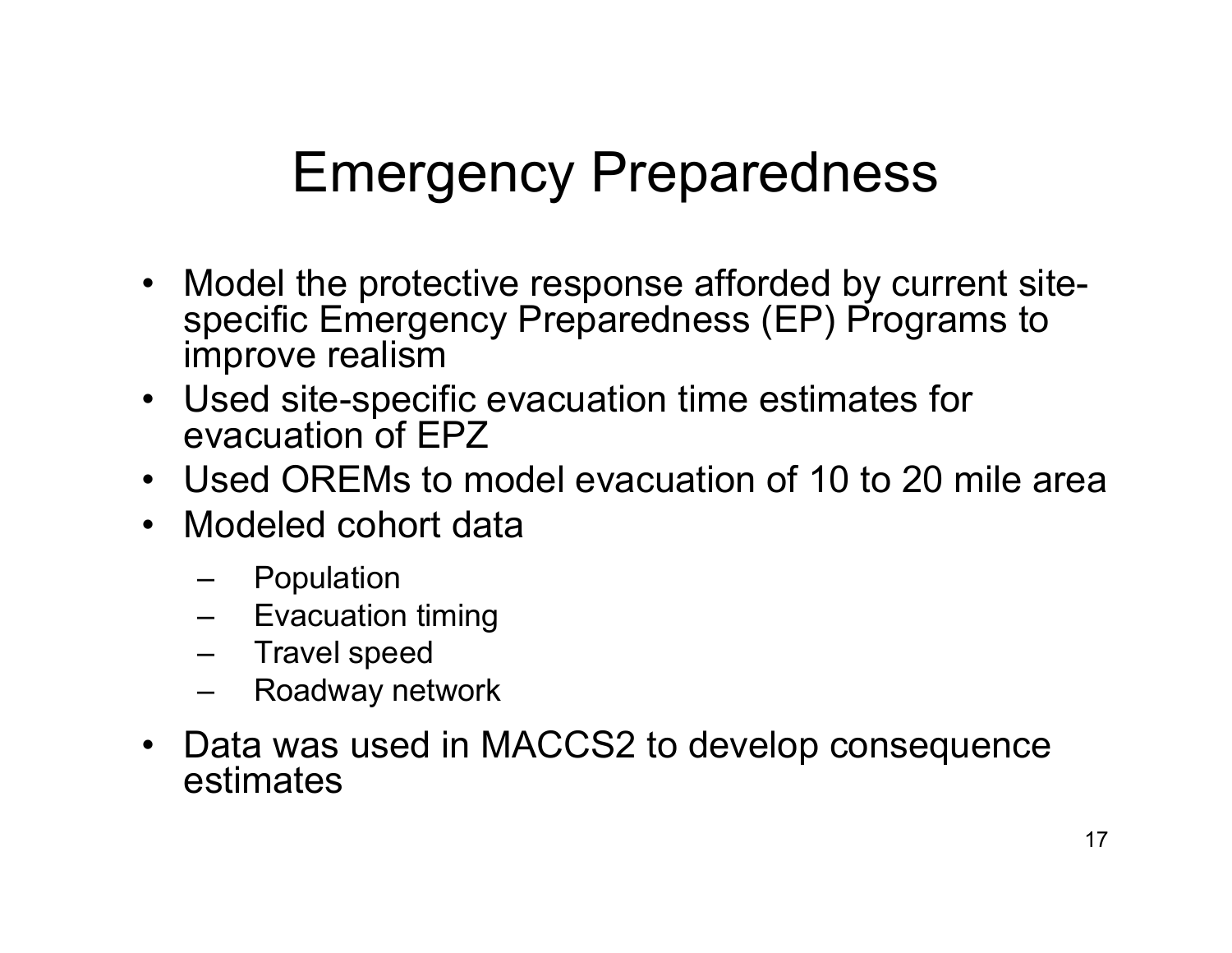# Emergency Preparedness

- Model the protective response afforded by current sitespecific Emergency Preparedness (EP) Programs to improve realism
- Used site-specific evacuation time estimates for evacuation of EPZ
- Used OREMs to model evacuation of 10 to 20 mile area
- Modeled cohort data
	- Population
	- Evacuation timing
	- Travel speed
	- Roadway network
- Data was used in MACCS2 to develop consequence estimates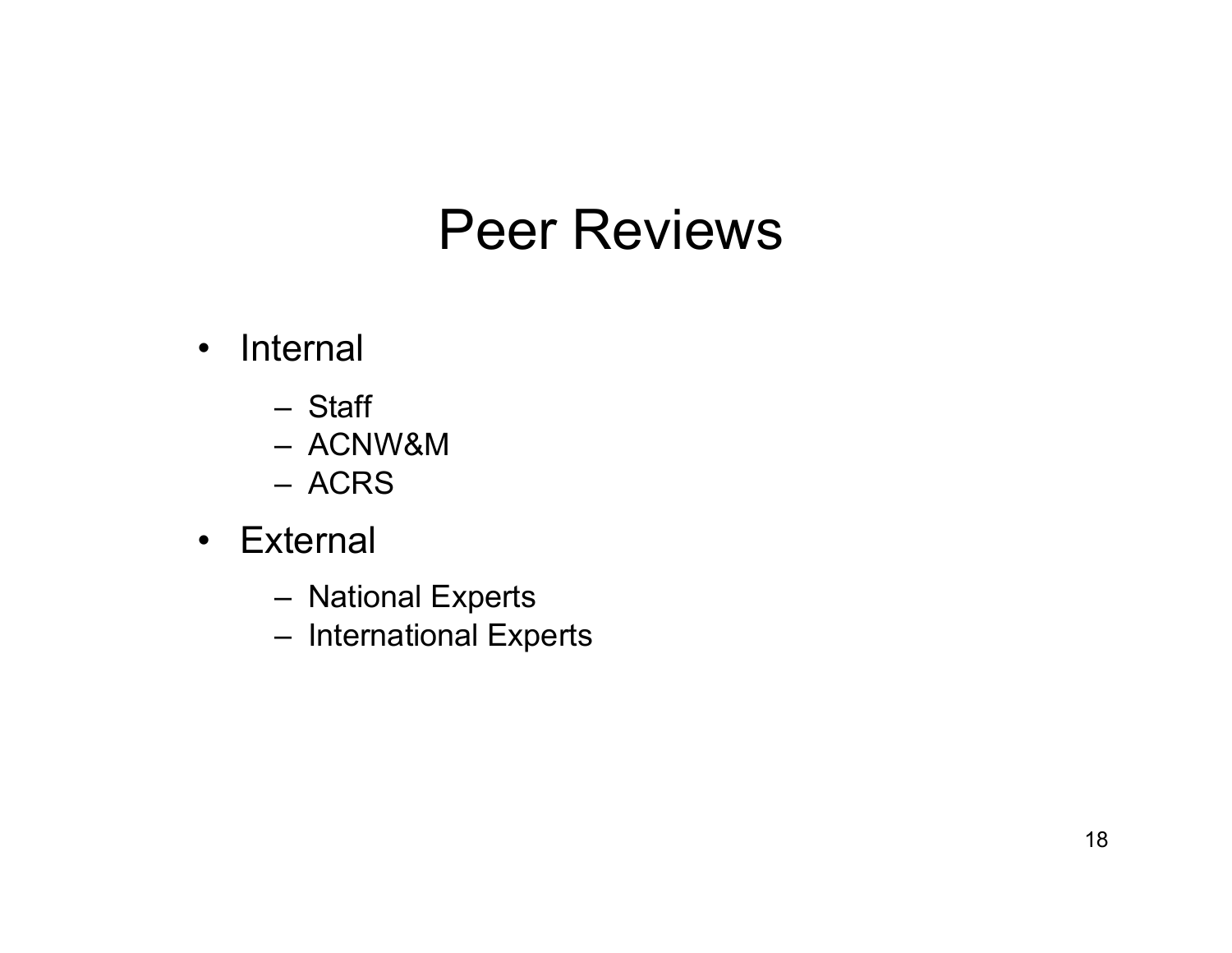### Peer Reviews

- Internal
	- Staff
	- ACNW&M
	- ACRS
- External
	- –National Experts
	- –International Experts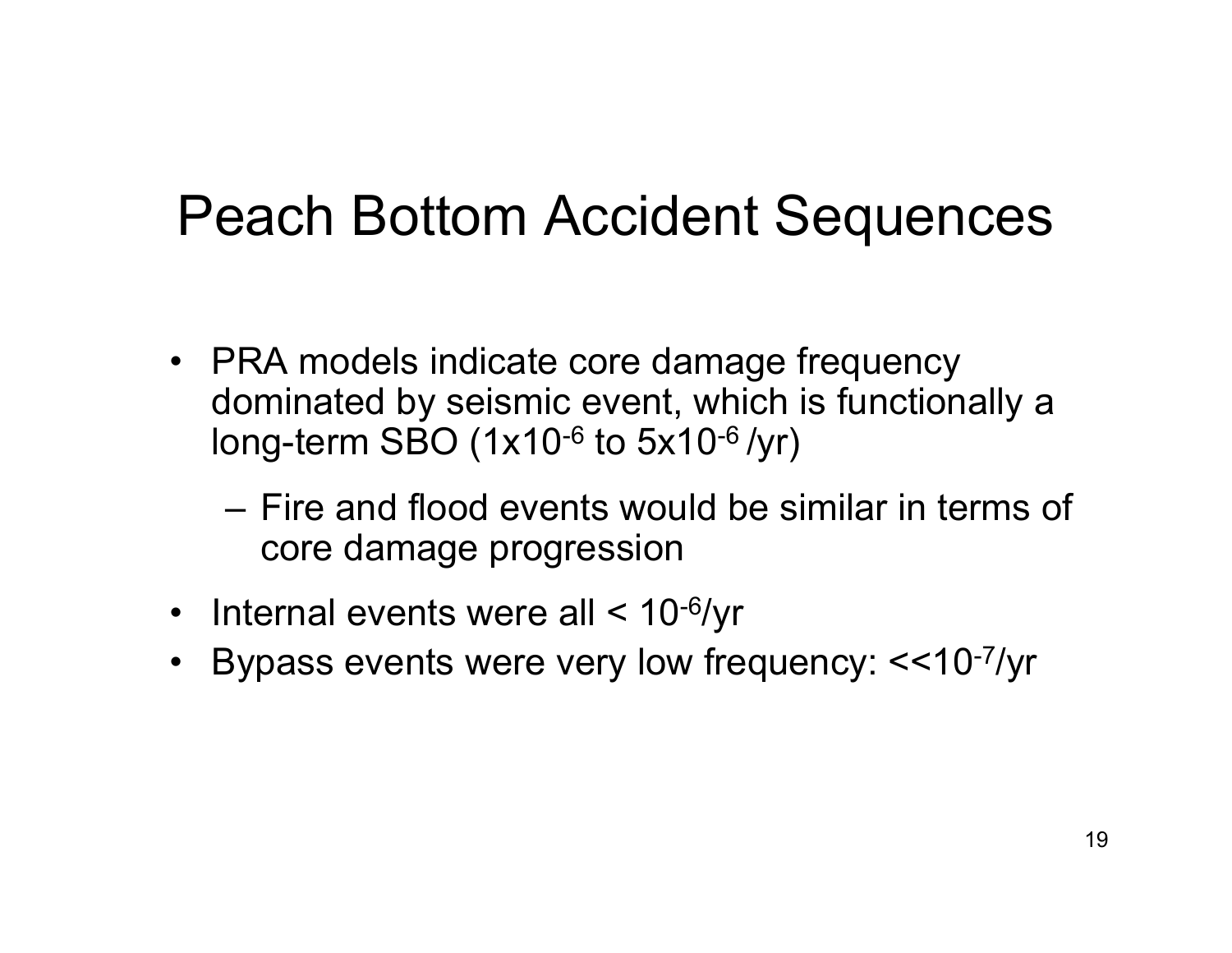### Peach Bottom Accident Sequences

- PRA models indicate core damage frequency dominated by seismic event, which is functionally a long-term SBO  $(1x10^{-6}$  to  $5x10^{-6}/yr)$ 
	- Fire and flood events would be similar in terms of core damage progression
- Internal events were all < 10<sup>-6</sup>/yr
- $\bullet$ Bypass events were very low frequency: <<10-7/yr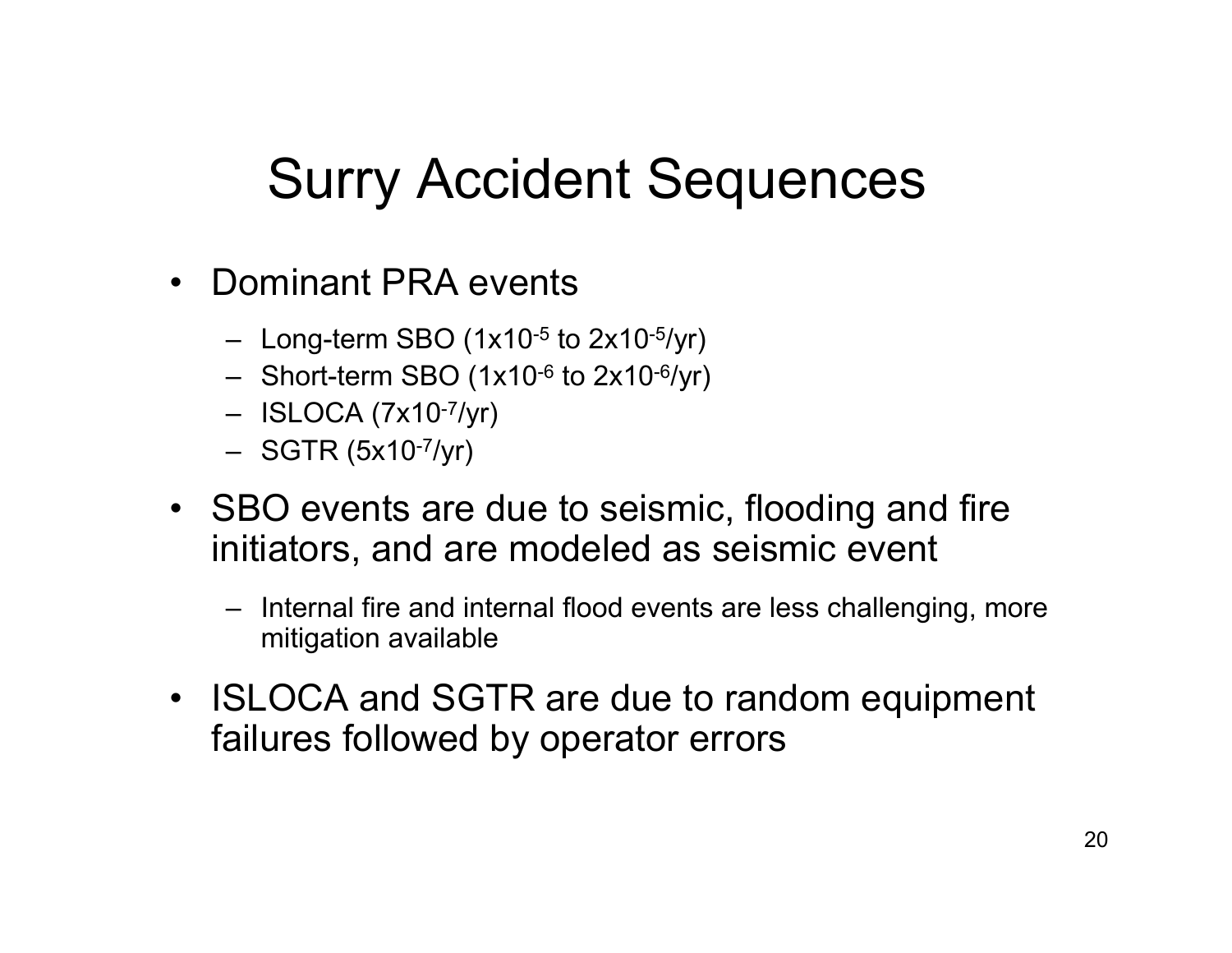# Surry Accident Sequences

- $\bullet$  Dominant PRA events
	- Long-term SBO (1x10-5 to 2x10-5/yr)
	- Short-term SBO (1x10-6 to 2x10-6/yr)
	- ISLOCA (7x10-7/yr)
	- SGTR (5x10-7/yr)
- SBO events are due to seismic, flooding and fire initiators, and are modeled as seismic event
	- Internal fire and internal flood events are less challenging, more mitigation available
- $\bullet$  ISLOCA and SGTR are due to random equipment failures followed by operator errors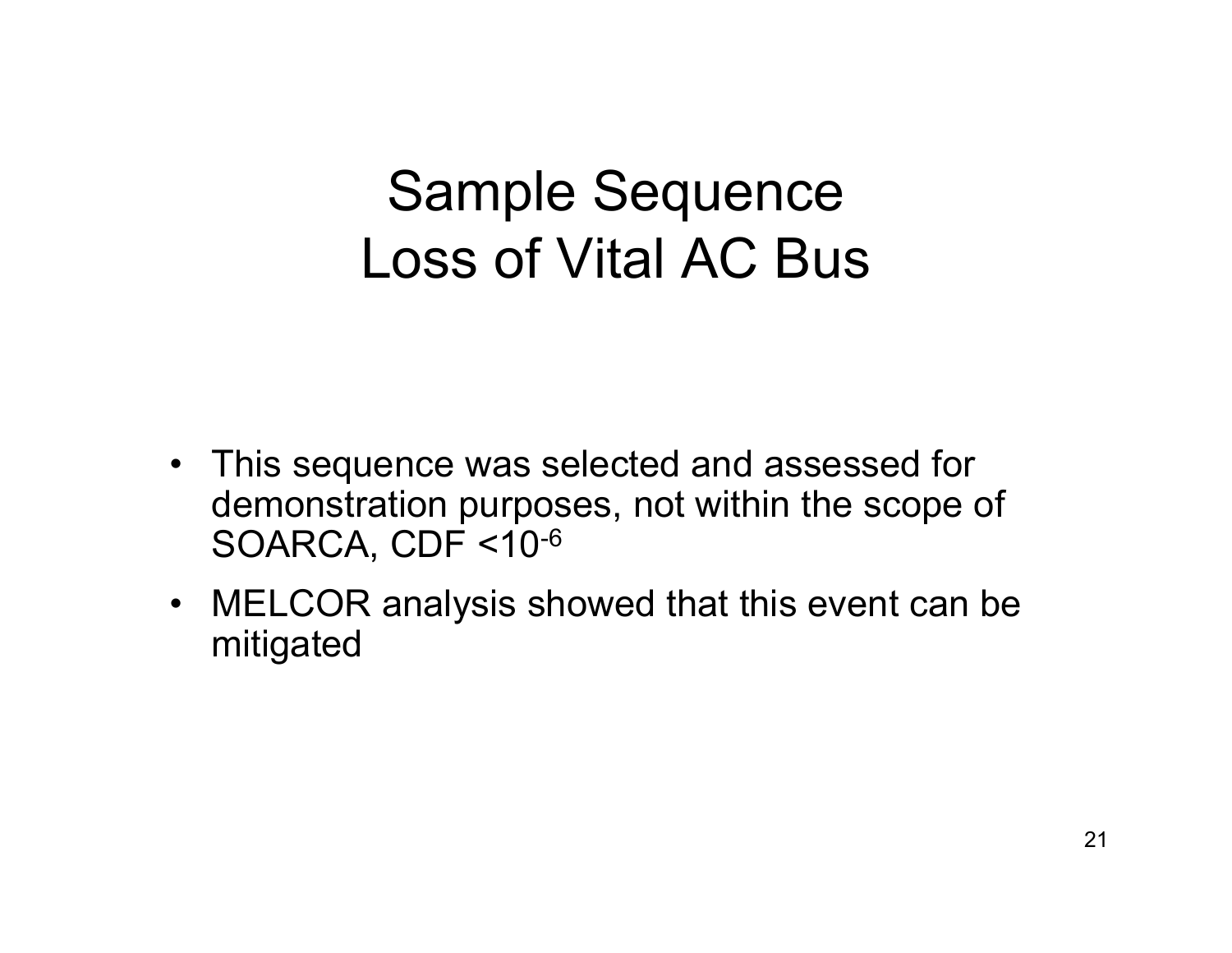## Sample Sequence Loss of Vital AC Bus

- This sequence was selected and assessed for demonstration purposes, not within the scope of SOARCA, CDF <10-6
- MELCOR analysis showed that this event can be mitigated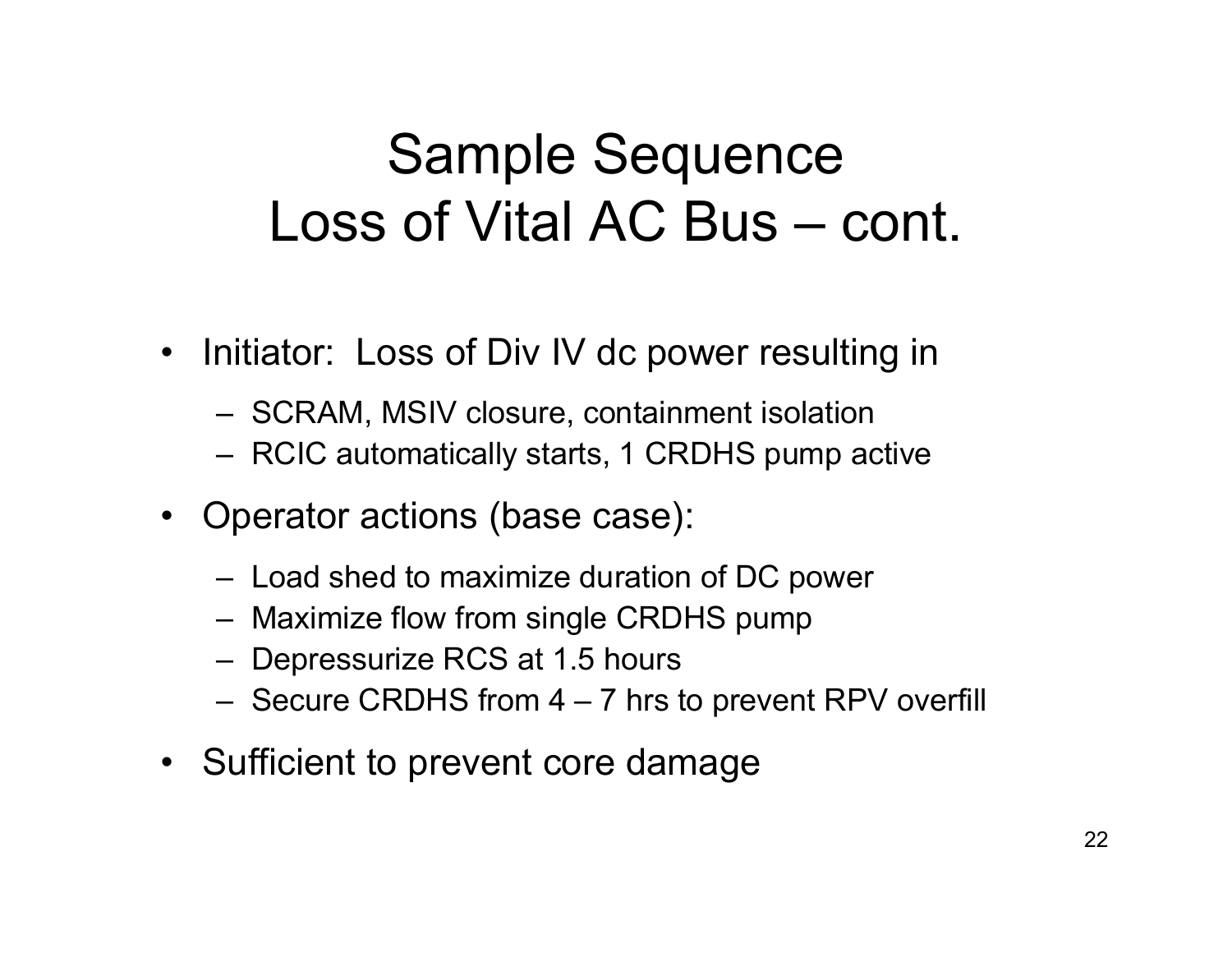# Sample Sequence Loss of Vital AC Bus – cont.

- Initiator: Loss of Div IV dc power resulting in
	- SCRAM, MSIV closure, containment isolation
	- RCIC automatically starts, 1 CRDHS pump active
- Operator actions (base case):
	- Load shed to maximize duration of DC power
	- Maximize flow from single CRDHS pump
	- Depressurize RCS at 1.5 hours
	- Secure CRDHS from 4 7 hrs to prevent RPV overfill
- Sufficient to prevent core damage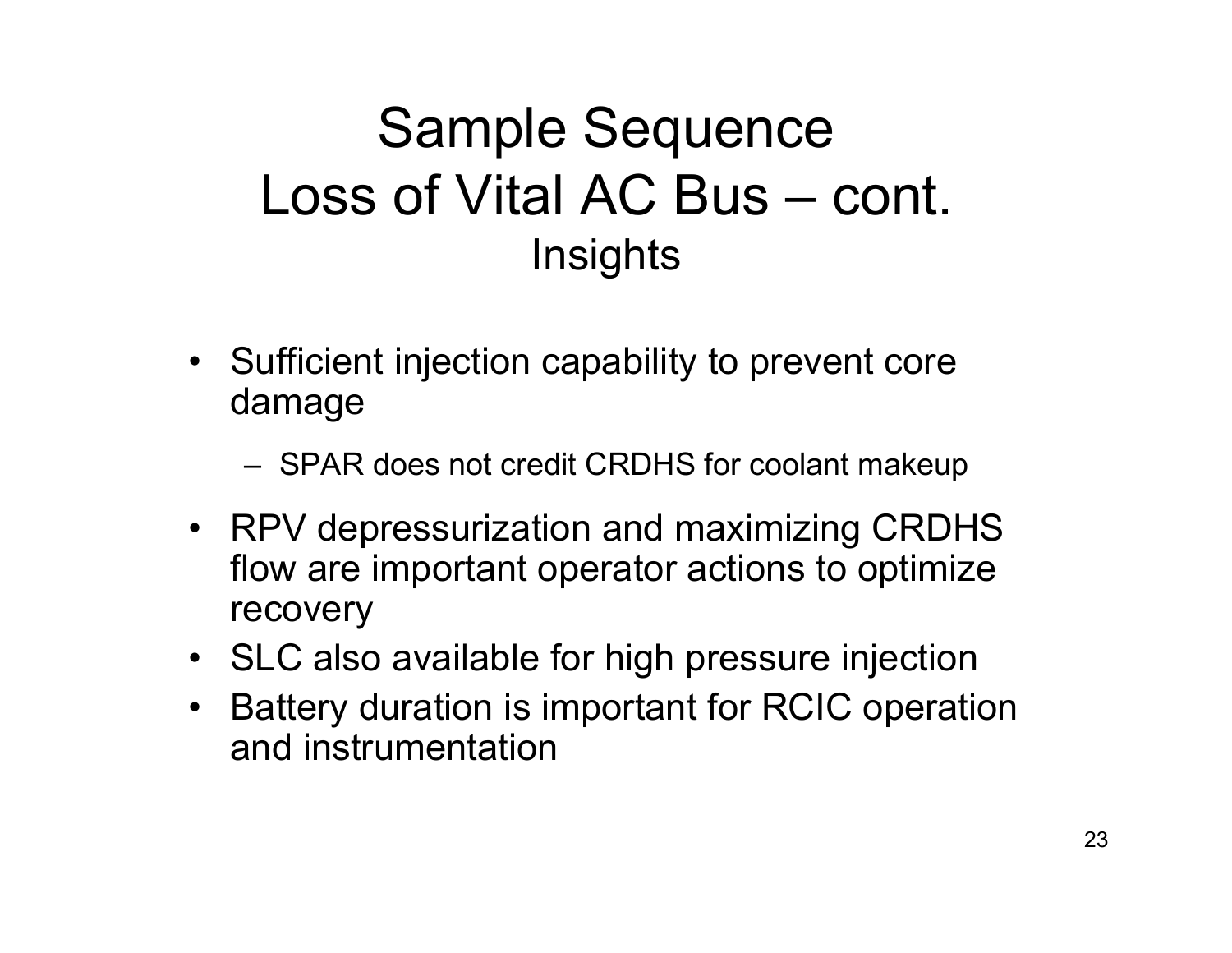## Sample Sequence Loss of Vital AC Bus – cont. **Insights**

- Sufficient injection capability to prevent core damage
	- SPAR does not credit CRDHS for coolant makeup
- RPV depressurization and maximizing CRDHS flow are important operator actions to optimize recovery
- SLC also available for high pressure injection
- $\bullet$  Battery duration is important for RCIC operation and instrumentation